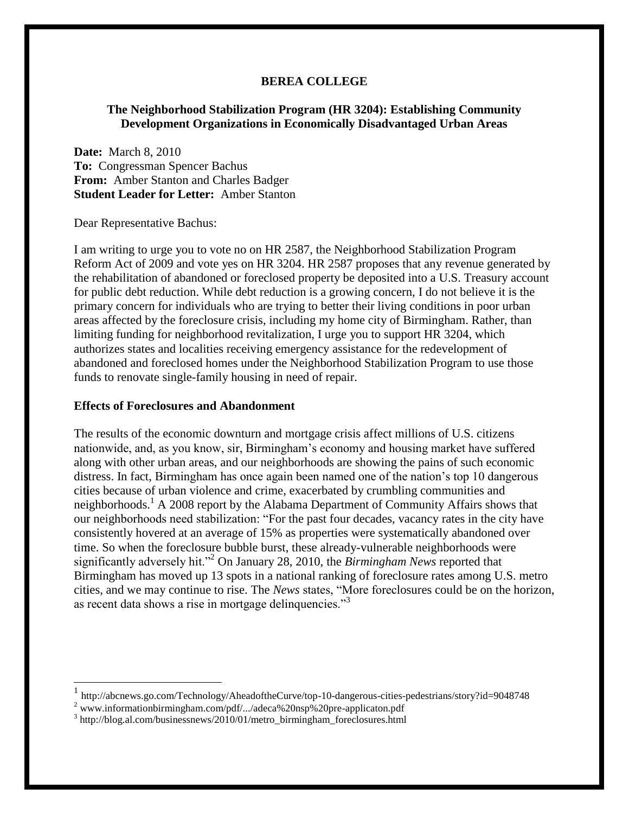#### **BEREA COLLEGE**

## **The Neighborhood Stabilization Program (HR 3204): Establishing Community Development Organizations in Economically Disadvantaged Urban Areas**

**Date:** March 8, 2010 **To:** Congressman Spencer Bachus **From:** Amber Stanton and Charles Badger **Student Leader for Letter:** Amber Stanton

Dear Representative Bachus:

l

I am writing to urge you to vote no on HR 2587, the Neighborhood Stabilization Program Reform Act of 2009 and vote yes on HR 3204. HR 2587 proposes that any revenue generated by the rehabilitation of abandoned or foreclosed property be deposited into a U.S. Treasury account for public debt reduction. While debt reduction is a growing concern, I do not believe it is the primary concern for individuals who are trying to better their living conditions in poor urban areas affected by the foreclosure crisis, including my home city of Birmingham. Rather, than limiting funding for neighborhood revitalization, I urge you to support HR 3204, which authorizes states and localities receiving emergency assistance for the redevelopment of abandoned and foreclosed homes under the Neighborhood Stabilization Program to use those funds to renovate single-family housing in need of repair.

#### **Effects of Foreclosures and Abandonment**

The results of the economic downturn and mortgage crisis affect millions of U.S. citizens nationwide, and, as you know, sir, Birmingham's economy and housing market have suffered along with other urban areas, and our neighborhoods are showing the pains of such economic distress. In fact, Birmingham has once again been named one of the nation's top 10 dangerous cities because of urban violence and crime, exacerbated by crumbling communities and neighborhoods.<sup>1</sup> A 2008 report by the Alabama Department of Community Affairs shows that our neighborhoods need stabilization: "For the past four decades, vacancy rates in the city have consistently hovered at an average of 15% as properties were systematically abandoned over time. So when the foreclosure bubble burst, these already-vulnerable neighborhoods were significantly adversely hit."<sup>2</sup> On January 28, 2010, the *Birmingham News* reported that Birmingham has moved up 13 spots in a national ranking of foreclosure rates among U.S. metro cities, and we may continue to rise. The *News* states, "More foreclosures could be on the horizon, as recent data shows a rise in mortgage delinquencies."<sup>3</sup>

<sup>1</sup> <http://abcnews.go.com/Technology/AheadoftheCurve/top-10-dangerous-cities-pedestrians/story?id=9048748>

<sup>2</sup> www.informationbirmingham.com/pdf/.../adeca%20nsp%20pre-applicaton.pdf

<sup>&</sup>lt;sup>3</sup> [http://blog.al.com/businessnews/2010/01/metro\\_birmingham\\_foreclosures.html](http://blog.al.com/businessnews/2010/01/metro_birmingham_foreclosures.html)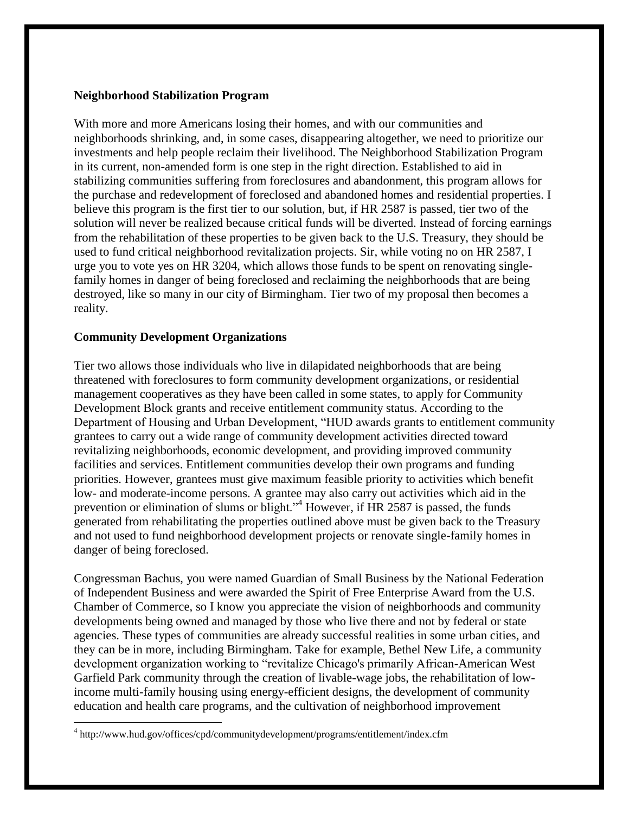### **Neighborhood Stabilization Program**

With more and more Americans losing their homes, and with our communities and neighborhoods shrinking, and, in some cases, disappearing altogether, we need to prioritize our investments and help people reclaim their livelihood. The Neighborhood Stabilization Program in its current, non-amended form is one step in the right direction. Established to aid in stabilizing communities suffering from foreclosures and abandonment, this program allows for the purchase and redevelopment of foreclosed and abandoned homes and residential properties. I believe this program is the first tier to our solution, but, if HR 2587 is passed, tier two of the solution will never be realized because critical funds will be diverted. Instead of forcing earnings from the rehabilitation of these properties to be given back to the U.S. Treasury, they should be used to fund critical neighborhood revitalization projects. Sir, while voting no on HR 2587, I urge you to vote yes on HR 3204, which allows those funds to be spent on renovating singlefamily homes in danger of being foreclosed and reclaiming the neighborhoods that are being destroyed, like so many in our city of Birmingham. Tier two of my proposal then becomes a reality.

#### **Community Development Organizations**

 $\overline{\phantom{a}}$ 

Tier two allows those individuals who live in dilapidated neighborhoods that are being threatened with foreclosures to form community development organizations, or residential management cooperatives as they have been called in some states, to apply for Community Development Block grants and receive entitlement community status. According to the Department of Housing and Urban Development, "HUD awards grants to entitlement community grantees to carry out a wide range of community development activities directed toward revitalizing neighborhoods, economic development, and providing improved community facilities and services. Entitlement communities develop their own programs and funding priorities. However, grantees must give maximum feasible priority to activities which benefit low- and moderate-income persons. A grantee may also carry out activities which aid in the prevention or elimination of slums or blight."<sup>4</sup> However, if HR 2587 is passed, the funds generated from rehabilitating the properties outlined above must be given back to the Treasury and not used to fund neighborhood development projects or renovate single-family homes in danger of being foreclosed.

Congressman Bachus, you were named Guardian of Small Business by the National Federation of Independent Business and were awarded the Spirit of Free Enterprise Award from the U.S. Chamber of Commerce, so I know you appreciate the vision of neighborhoods and community developments being owned and managed by those who live there and not by federal or state agencies. These types of communities are already successful realities in some urban cities, and they can be in more, including Birmingham. Take for example, Bethel New Life, a community development organization working to "revitalize Chicago's primarily African-American West Garfield Park community through the creation of livable-wage jobs, the rehabilitation of lowincome multi-family housing using energy-efficient designs, the development of community education and health care programs, and the cultivation of neighborhood improvement

<sup>4</sup> http://www.hud.gov/offices/cpd/communitydevelopment/programs/entitlement/index.cfm